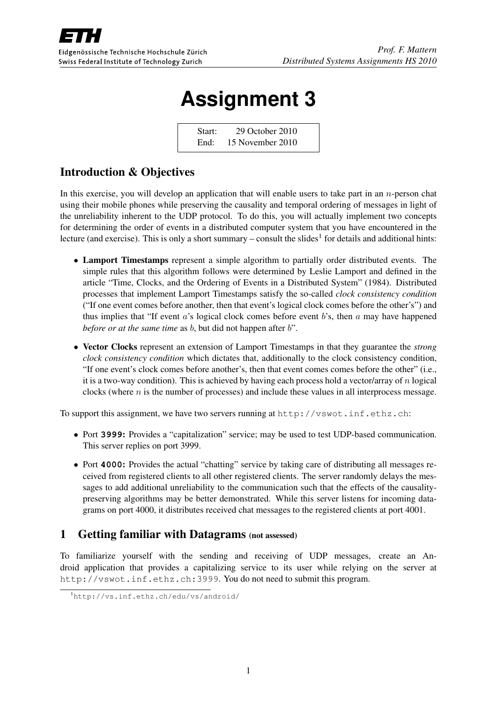

# **Assignment 3**

Start: 29 October 2010 End: 15 November 2010

## Introduction & Objectives

In this exercise, you will develop an application that will enable users to take part in an  $n$ -person chat using their mobile phones while preserving the causality and temporal ordering of messages in light of the unreliability inherent to the UDP protocol. To do this, you will actually implement two concepts for determining the order of events in a distributed computer system that you have encountered in the lecture (and exercise). This is only a short summary – consult the slides<sup>1</sup> for details and additional hints:

- Lamport Timestamps represent a simple algorithm to partially order distributed events. The simple rules that this algorithm follows were determined by Leslie Lamport and defined in the article "Time, Clocks, and the Ordering of Events in a Distributed System" (1984). Distributed processes that implement Lamport Timestamps satisfy the so-called *clock consistency condition* ("If one event comes before another, then that event's logical clock comes before the other's") and thus implies that "If event  $a$ 's logical clock comes before event  $b$ 's, then  $a$  may have happened *before or at the same time* as *b*, but did not happen after *b*".
- Vector Clocks represent an extension of Lamport Timestamps in that they guarantee the *strong clock consistency condition* which dictates that, additionally to the clock consistency condition, "If one event's clock comes before another's, then that event comes comes before the other" (i.e., it is a two-way condition). This is achieved by having each process hold a vector/array of n logical clocks (where  $n$  is the number of processes) and include these values in all interprocess message.

To support this assignment, we have two servers running at http://vswot.inf.ethz.ch:

- Port **3999**: Provides a "capitalization" service; may be used to test UDP-based communication. This server replies on port 3999.
- Port **4000**: Provides the actual "chatting" service by taking care of distributing all messages received from registered clients to all other registered clients. The server randomly delays the messages to add additional unreliability to the communication such that the effects of the causalitypreserving algorithms may be better demonstrated. While this server listens for incoming datagrams on port 4000, it distributes received chat messages to the registered clients at port 4001.

## 1 Getting familiar with Datagrams (not assessed)

To familiarize yourself with the sending and receiving of UDP messages, create an Android application that provides a capitalizing service to its user while relying on the server at http://vswot.inf.ethz.ch:3999. You do not need to submit this program.

<sup>1</sup>http://vs.inf.ethz.ch/edu/vs/android/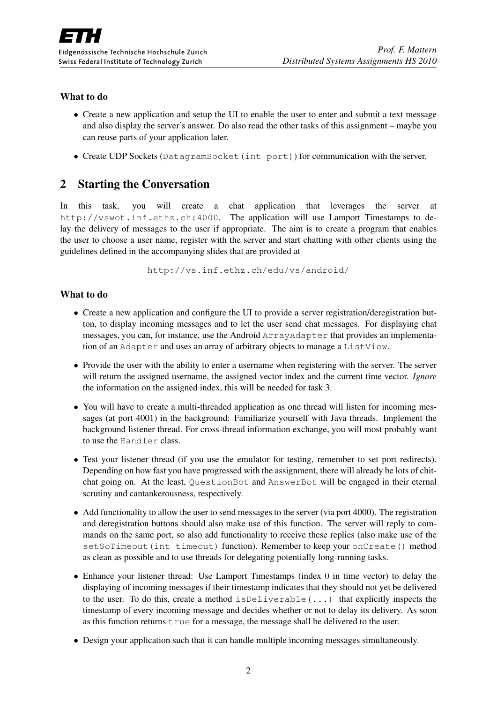#### What to do

- Create a new application and setup the UI to enable the user to enter and submit a text message and also display the server's answer. Do also read the other tasks of this assignment – maybe you can reuse parts of your application later.
- Create UDP Sockets (DatagramSocket(int port)) for communication with the server.

## 2 Starting the Conversation

In this task, you will create a chat application that leverages the server at http://vswot.inf.ethz.ch:4000. The application will use Lamport Timestamps to delay the delivery of messages to the user if appropriate. The aim is to create a program that enables the user to choose a user name, register with the server and start chatting with other clients using the guidelines defined in the accompanying slides that are provided at

http://vs.inf.ethz.ch/edu/vs/android/

#### What to do

- Create a new application and configure the UI to provide a server registration/deregistration button, to display incoming messages and to let the user send chat messages. For displaying chat messages, you can, for instance, use the Android ArrayAdapter that provides an implementation of an Adapter and uses an array of arbitrary objects to manage a ListView.
- Provide the user with the ability to enter a username when registering with the server. The server will return the assigned username, the assigned vector index and the current time vector. *Ignore* the information on the assigned index, this will be needed for task 3.
- You will have to create a multi-threaded application as one thread will listen for incoming messages (at port 4001) in the background: Familiarize yourself with Java threads. Implement the background listener thread. For cross-thread information exchange, you will most probably want to use the Handler class.
- Test your listener thread (if you use the emulator for testing, remember to set port redirects). Depending on how fast you have progressed with the assignment, there will already be lots of chitchat going on. At the least, QuestionBot and AnswerBot will be engaged in their eternal scrutiny and cantankerousness, respectively.
- Add functionality to allow the user to send messages to the server (via port 4000). The registration and deregistration buttons should also make use of this function. The server will reply to commands on the same port, so also add functionality to receive these replies (also make use of the setSoTimeout(int timeout) function). Remember to keep your onCreate() method as clean as possible and to use threads for delegating potentially long-running tasks.
- Enhance your listener thread: Use Lamport Timestamps (index 0 in time vector) to delay the displaying of incoming messages if their timestamp indicates that they should not yet be delivered to the user. To do this, create a method  $i$ sDeliverable(...) that explicitly inspects the timestamp of every incoming message and decides whether or not to delay its delivery. As soon as this function returns  $true$  for a message, the message shall be delivered to the user.
- Design your application such that it can handle multiple incoming messages simultaneously.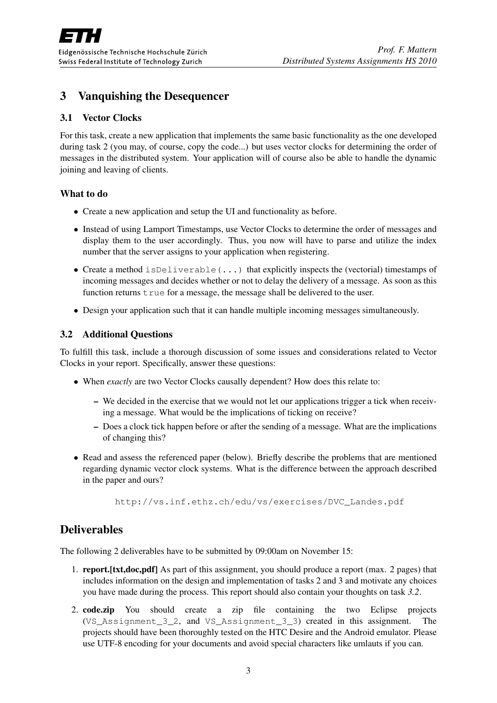## 3 Vanquishing the Desequencer

#### 3.1 Vector Clocks

For this task, create a new application that implements the same basic functionality as the one developed during task 2 (you may, of course, copy the code...) but uses vector clocks for determining the order of messages in the distributed system. Your application will of course also be able to handle the dynamic joining and leaving of clients.

#### What to do

- Create a new application and setup the UI and functionality as before.
- Instead of using Lamport Timestamps, use Vector Clocks to determine the order of messages and display them to the user accordingly. Thus, you now will have to parse and utilize the index number that the server assigns to your application when registering.
- Create a method isDeliverable(...) that explicitly inspects the (vectorial) timestamps of incoming messages and decides whether or not to delay the delivery of a message. As soon as this function returns  $true$  for a message, the message shall be delivered to the user.
- Design your application such that it can handle multiple incoming messages simultaneously.

#### 3.2 Additional Questions

To fulfill this task, include a thorough discussion of some issues and considerations related to Vector Clocks in your report. Specifically, answer these questions:

- When *exactly* are two Vector Clocks causally dependent? How does this relate to:
	- We decided in the exercise that we would not let our applications trigger a tick when receiving a message. What would be the implications of ticking on receive?
	- Does a clock tick happen before or after the sending of a message. What are the implications of changing this?
- Read and assess the referenced paper (below). Briefly describe the problems that are mentioned regarding dynamic vector clock systems. What is the difference between the approach described in the paper and ours?

http://vs.inf.ethz.ch/edu/vs/exercises/DVC\_Landes.pdf

### Deliverables

The following 2 deliverables have to be submitted by 09:00am on November 15:

- 1. report.[txt,doc,pdf] As part of this assignment, you should produce a report (max. 2 pages) that includes information on the design and implementation of tasks 2 and 3 and motivate any choices you have made during the process. This report should also contain your thoughts on task *3.2*.
- 2. code.zip You should create a zip file containing the two Eclipse projects (VS\_Assignment\_3\_2, and VS\_Assignment\_3\_3) created in this assignment. The projects should have been thoroughly tested on the HTC Desire and the Android emulator. Please use UTF-8 encoding for your documents and avoid special characters like umlauts if you can.